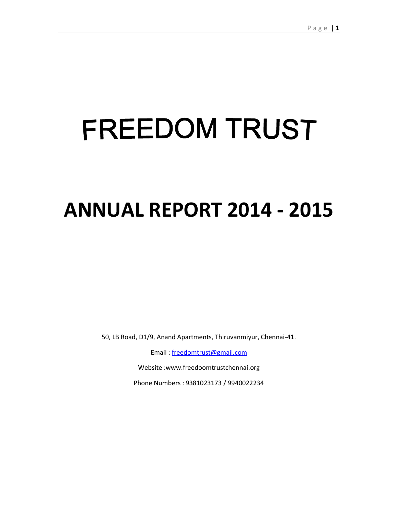# **FREEDOM TRUST**

## **ANNUAL REPORT 2014 - 2015**

50, LB Road, D1/9, Anand Apartments, Thiruvanmiyur, Chennai-41.

Email : [freedomtrust@gmail.com](mailto:freedomtrust@gmail.com)

Website :www.freedoomtrustchennai.org

Phone Numbers : 9381023173 / 9940022234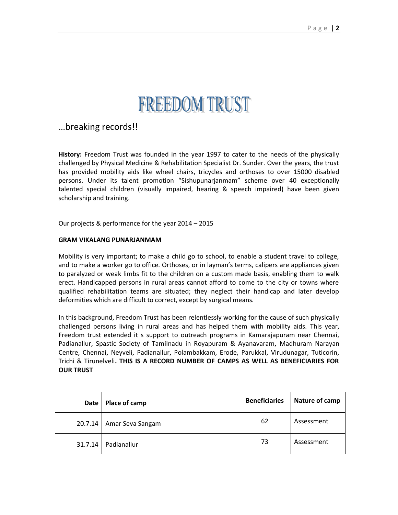

### …breaking records!!

**History:** Freedom Trust was founded in the year 1997 to cater to the needs of the physically challenged by Physical Medicine & Rehabilitation Specialist Dr. Sunder. Over the years, the trust has provided mobility aids like wheel chairs, tricycles and orthoses to over 15000 disabled persons. Under its talent promotion "Sishupunarjanmam" scheme over 40 exceptionally talented special children (visually impaired, hearing & speech impaired) have been given scholarship and training.

Our projects & performance for the year 2014 – 2015

#### **GRAM VIKALANG PUNARJANMAM**

Mobility is very important; to make a child go to school, to enable a student travel to college, and to make a worker go to office. Orthoses, or in layman's terms, calipers are appliances given to paralyzed or weak limbs fit to the children on a custom made basis, enabling them to walk erect. Handicapped persons in rural areas cannot afford to come to the city or towns where qualified rehabilitation teams are situated; they neglect their handicap and later develop deformities which are difficult to correct, except by surgical means.

In this background, Freedom Trust has been relentlessly working for the cause of such physically challenged persons living in rural areas and has helped them with mobility aids. This year, Freedom trust extended it s support to outreach programs in Kamarajapuram near Chennai, Padianallur, Spastic Society of Tamilnadu in Royapuram & Ayanavaram, Madhuram Narayan Centre, Chennai, Neyveli, Padianallur, Polambakkam, Erode, Parukkal, Virudunagar, Tuticorin, Trichi & Tirunelveli**. THIS IS A RECORD NUMBER OF CAMPS AS WELL AS BENEFICIARIES FOR OUR TRUST**

| Date      | Place of camp              | <b>Beneficiaries</b> | Nature of camp |
|-----------|----------------------------|----------------------|----------------|
|           | 20.7.14   Amar Seva Sangam | 62                   | Assessment     |
| $31.7.14$ | Padianallur                | 73                   | Assessment     |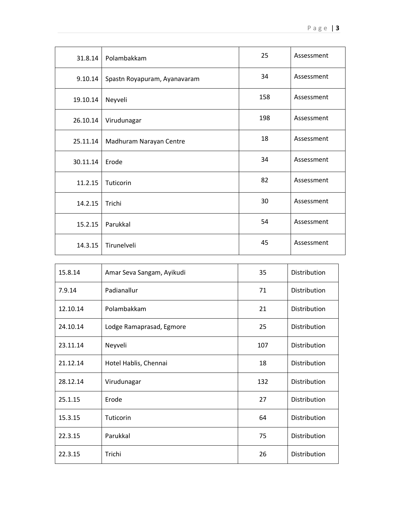| 31.8.14                | Polambakkam                  | 25  | Assessment |
|------------------------|------------------------------|-----|------------|
| 9.10.14                | Spastn Royapuram, Ayanavaram | 34  | Assessment |
| 19.10.14               | Neyveli                      | 158 | Assessment |
| 26.10.14               | Virudunagar                  | 198 | Assessment |
| 25.11.14               | Madhuram Narayan Centre      | 18  | Assessment |
| 30.11.14               | Erode                        | 34  | Assessment |
| 11.2.15                | Tuticorin                    | 82  | Assessment |
| 14.2.15                | Trichi                       |     | Assessment |
| Parukkal<br>15.2.15    |                              | 54  | Assessment |
| Tirunelveli<br>14.3.15 |                              | 45  | Assessment |

| 15.8.14  | Amar Seva Sangam, Ayikudi | 35  | Distribution |
|----------|---------------------------|-----|--------------|
| 7.9.14   | Padianallur               | 71  | Distribution |
| 12.10.14 | Polambakkam               | 21  | Distribution |
| 24.10.14 | Lodge Ramaprasad, Egmore  | 25  | Distribution |
| 23.11.14 | Neyveli                   | 107 | Distribution |
| 21.12.14 | Hotel Hablis, Chennai     | 18  | Distribution |
| 28.12.14 | Virudunagar               | 132 | Distribution |
| 25.1.15  | Erode                     | 27  | Distribution |
| 15.3.15  | Tuticorin                 |     | Distribution |
| 22.3.15  | Parukkal                  |     | Distribution |
| 22.3.15  | Trichi                    |     | Distribution |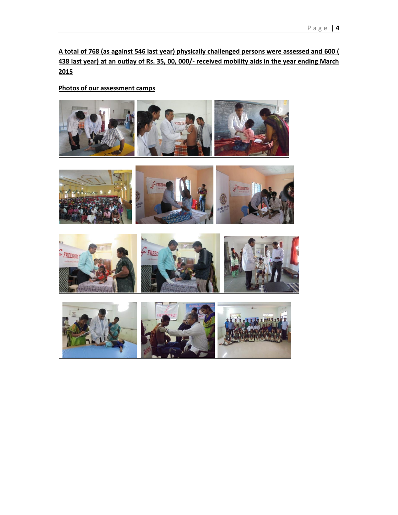**A total of 768 (as against 546 last year) physically challenged persons were assessed and 600 ( 438 last year) at an outlay of Rs. 35, 00, 000/- received mobility aids in the year ending March 2015**

**Photos of our assessment camps**

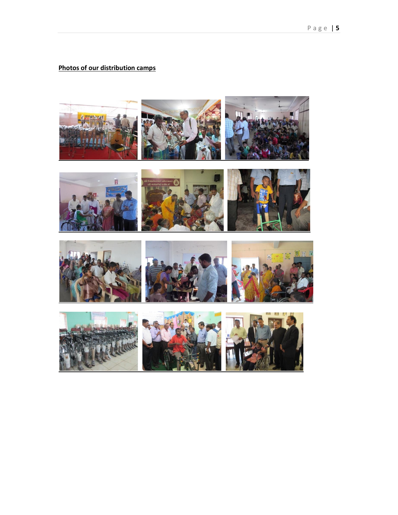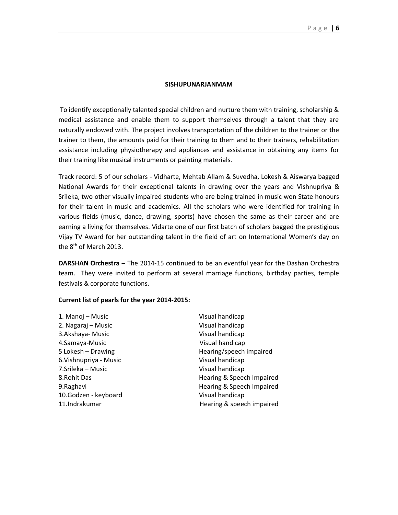#### **SISHUPUNARJANMAM**

To identify exceptionally talented special children and nurture them with training, scholarship & medical assistance and enable them to support themselves through a talent that they are naturally endowed with. The project involves transportation of the children to the trainer or the trainer to them, the amounts paid for their training to them and to their trainers, rehabilitation assistance including physiotherapy and appliances and assistance in obtaining any items for their training like musical instruments or painting materials.

Track record: 5 of our scholars - Vidharte, Mehtab Allam & Suvedha, Lokesh & Aiswarya bagged National Awards for their exceptional talents in drawing over the years and Vishnupriya & Srileka, two other visually impaired students who are being trained in music won State honours for their talent in music and academics. All the scholars who were identified for training in various fields (music, dance, drawing, sports) have chosen the same as their career and are earning a living for themselves. Vidarte one of our first batch of scholars bagged the prestigious Vijay TV Award for her outstanding talent in the field of art on International Women's day on the 8<sup>th</sup> of March 2013.

**DARSHAN Orchestra –** The 2014-15 continued to be an eventful year for the Dashan Orchestra team. They were invited to perform at several marriage functions, birthday parties, temple festivals & corporate functions.

#### **Current list of pearls for the year 2014-2015:**

1. Manoj – Music Visual handicap 2. Nagaraj – Music Visual handicap 3.Akshaya- Music Visual handicap 4.Samaya-Music **Visual handicap** 6. Vishnupriya - Music Visual handicap 7.Srileka – Music Visual handicap 10.Godzen - keyboard Visual handicap 11.Indrakumar **Hearing & speech impaired** 

5 Lokesh – Drawing **Hearing**/speech impaired 8.Rohit Das **Heart Allie Except Engine Except** Hearing & Speech Impaired 9.Raghavi **Hearing & Speech Impaired**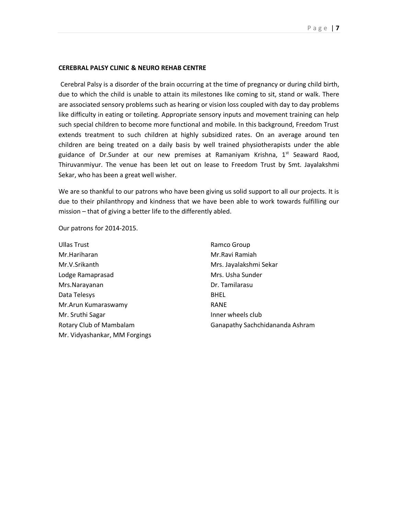#### **CEREBRAL PALSY CLINIC & NEURO REHAB CENTRE**

Cerebral Palsy is a disorder of the brain occurring at the time of pregnancy or during child birth, due to which the child is unable to attain its milestones like coming to sit, stand or walk. There are associated sensory problems such as hearing or vision loss coupled with day to day problems like difficulty in eating or toileting. Appropriate sensory inputs and movement training can help such special children to become more functional and mobile. In this background, Freedom Trust extends treatment to such children at highly subsidized rates. On an average around ten children are being treated on a daily basis by well trained physiotherapists under the able guidance of Dr.Sunder at our new premises at Ramaniyam Krishna,  $1<sup>st</sup>$  Seaward Raod, Thiruvanmiyur. The venue has been let out on lease to Freedom Trust by Smt. Jayalakshmi Sekar, who has been a great well wisher.

We are so thankful to our patrons who have been giving us solid support to all our projects. It is due to their philanthropy and kindness that we have been able to work towards fulfilling our mission – that of giving a better life to the differently abled.

Our patrons for 2014-2015.

Ullas Trust Mr.Hariharan Mr.V.Srikanth Lodge Ramaprasad Mrs.Narayanan Data Telesys Mr.Arun Kumaraswamy Mr. Sruthi Sagar Rotary Club of Mambalam Mr. Vidyashankar, MM Forgings Ramco Group Mr.Ravi Ramiah Mrs. Jayalakshmi Sekar Mrs. Usha Sunder Dr. Tamilarasu BHEL RANE Inner wheels club Ganapathy Sachchidananda Ashram